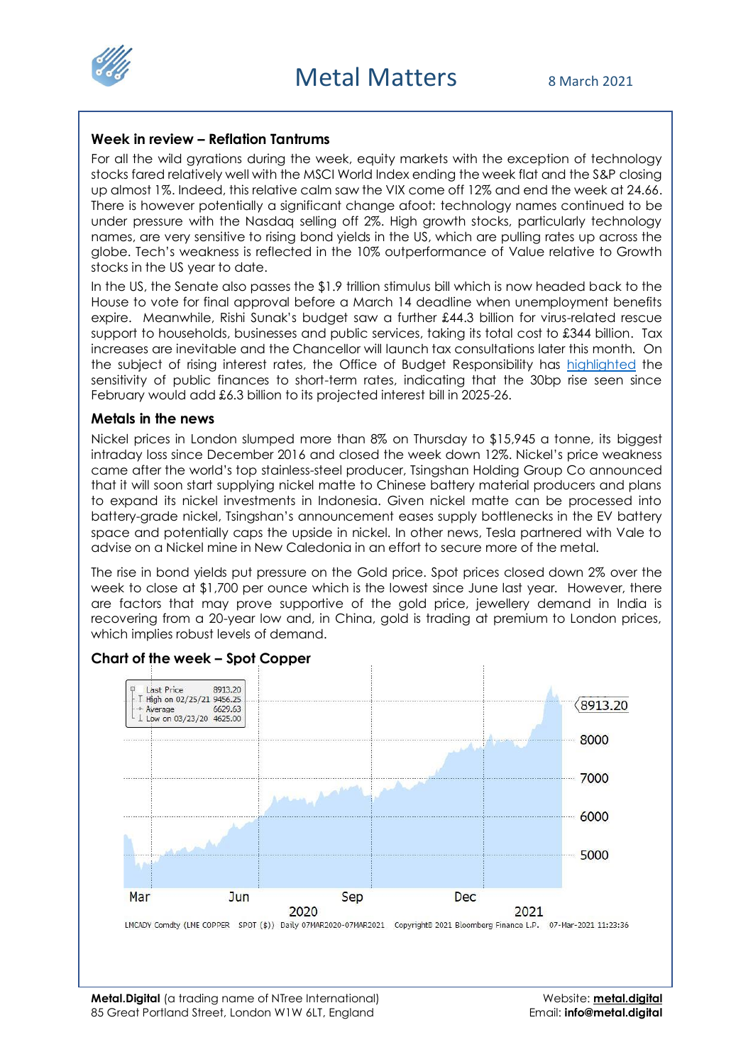

#### **Week in review – Reflation Tantrums**

For all the wild gyrations during the week, equity markets with the exception of technology stocks fared relatively well with the MSCI World Index ending the week flat and the S&P closing up almost 1%. Indeed, this relative calm saw the VIX come off 12% and end the week at 24.66. There is however potentially a significant change afoot: technology names continued to be under pressure with the Nasdaq selling off 2%. High growth stocks, particularly technology names, are very sensitive to rising bond yields in the US, which are pulling rates up across the globe. Tech's weakness is reflected in the 10% outperformance of Value relative to Growth stocks in the US year to date.

In the US, the Senate also passes the \$1.9 trillion stimulus bill which is now headed back to the House to vote for final approval before a March 14 deadline when unemployment benefits expire. Meanwhile, Rishi Sunak's budget saw a further £44.3 billion for virus-related rescue support to households, businesses and public services, taking its total cost to £344 billion. Tax increases are inevitable and the Chancellor will launch tax consultations later this month. On the subject of rising interest rates, the Office of Budget Responsibility has [highlighted](https://obr.uk/overview-of-the-march-2021-economic-and-fiscal-outlook/) the sensitivity of public finances to short-term rates, indicating that the 30bp rise seen since February would add £6.3 billion to its projected interest bill in 2025-26.

#### **Metals in the news**

Nickel prices in London slumped more than 8% on Thursday to \$15,945 a tonne, its biggest intraday loss since December 2016 and closed the week down 12%. Nickel's price weakness came after the world's top stainless-steel producer, Tsingshan Holding Group Co announced that it will soon start supplying nickel matte to Chinese battery material producers and plans to expand its nickel investments in Indonesia. Given nickel matte can be processed into battery-grade nickel, Tsingshan's announcement eases supply bottlenecks in the EV battery space and potentially caps the upside in nickel. In other news, Tesla partnered with Vale to advise on a Nickel mine in New Caledonia in an effort to secure more of the metal.

The rise in bond yields put pressure on the Gold price. Spot prices closed down 2% over the week to close at \$1,700 per ounce which is the lowest since June last year. However, there are factors that may prove supportive of the gold price, jewellery demand in India is recovering from a 20-year low and, in China, gold is trading at premium to London prices, which implies robust levels of demand.



## **Chart of the week – Spot Copper**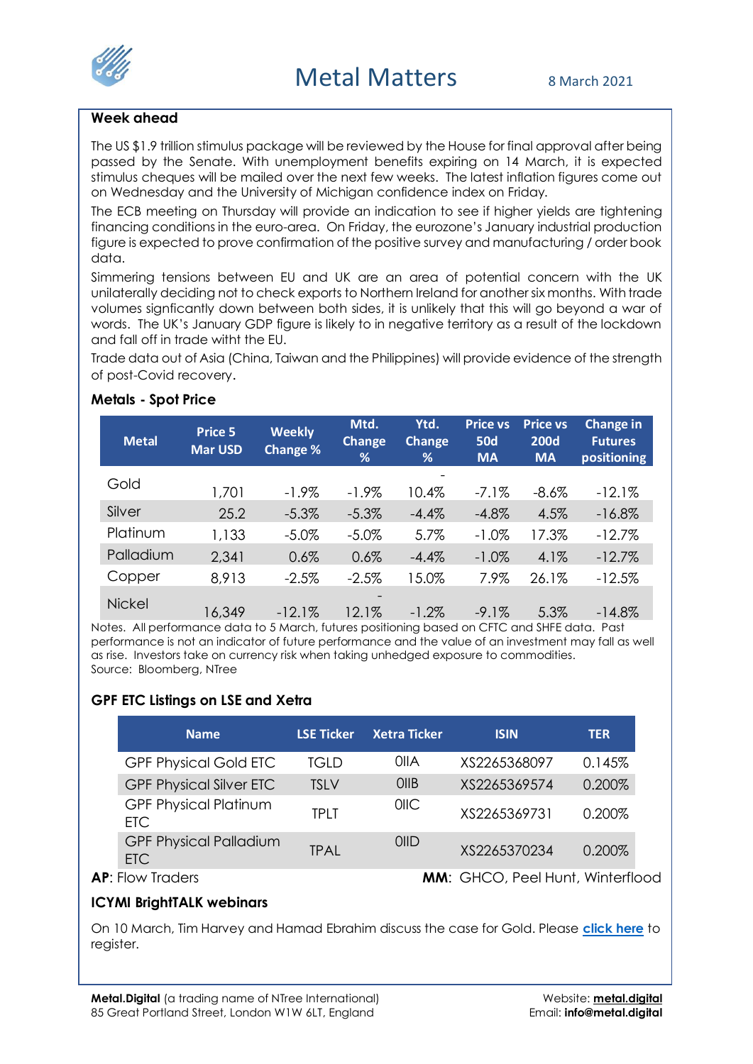

## **Week ahead**

The US \$1.9 trillion stimulus package will be reviewed by the House for final approval after being passed by the Senate. With unemployment benefits expiring on 14 March, it is expected stimulus cheques will be mailed over the next few weeks. The latest inflation figures come out on Wednesday and the University of Michigan confidence index on Friday.

The ECB meeting on Thursday will provide an indication to see if higher yields are tightening financing conditions in the euro-area. On Friday, the eurozone's January industrial production figure is expected to prove confirmation of the positive survey and manufacturing / order book data.

Simmering tensions between EU and UK are an area of potential concern with the UK unilaterally deciding not to check exports to Northern Ireland for another six months. With trade volumes signficantly down between both sides, it is unlikely that this will go beyond a war of words. The UK's January GDP figure is likely to in negative territory as a result of the lockdown and fall off in trade witht the EU.

Trade data out of Asia (China, Taiwan and the Philippines) will provide evidence of the strength of post-Covid recovery.

## **Metals - Spot Price**

| <b>Metal</b>  | Price 5<br><b>Mar USD</b> | <b>Weekly</b><br>Change % | Mtd.<br>Change<br>% | Ytd.<br>Change<br>% | <b>Price vs</b><br><b>50d</b><br><b>MA</b> | <b>Price vs</b><br><b>200d</b><br><b>MA</b> | Change in<br><b>Futures</b><br>positioning |
|---------------|---------------------------|---------------------------|---------------------|---------------------|--------------------------------------------|---------------------------------------------|--------------------------------------------|
| Gold          | 1,701                     | $-1.9\%$                  | $-1.9\%$            | 10.4%               | $-7.1%$                                    | $-8.6%$                                     | $-12.1%$                                   |
| Silver        | 25.2                      | $-5.3\%$                  | $-5.3\%$            | $-4.4%$             | $-4.8%$                                    | 4.5%                                        | $-16.8%$                                   |
| Platinum      | 1,133                     | $-5.0\%$                  | $-5.0\%$            | 5.7%                | $-1.0%$                                    | 17.3%                                       | $-12.7%$                                   |
| Palladium     | 2,341                     | 0.6%                      | 0.6%                | $-4.4%$             | $-1.0\%$                                   | 4.1%                                        | $-12.7%$                                   |
| Copper        | 8,913                     | $-2.5%$                   | $-2.5%$             | 15.0%               | 7.9%                                       | 26.1%                                       | $-12.5%$                                   |
| <b>Nickel</b> | 16,349                    | $-12.1%$                  | 12.1%               | $-1.2\%$            | $-9.1%$                                    | 5.3%                                        | $-14.8\%$                                  |

Notes. All performance data to 5 March, futures positioning based on CFTC and SHFE data. Past performance is not an indicator of future performance and the value of an investment may fall as well as rise. Investors take on currency risk when taking unhedged exposure to commodities. Source: Bloomberg, NTree

# **GPF ETC Listings on LSE and Xetra**

|  | <b>Name</b>                          | <b>LSE Ticker</b> | <b>Xetra Ticker</b> | <b>ISIN</b>                             | <b>TER</b> |
|--|--------------------------------------|-------------------|---------------------|-----------------------------------------|------------|
|  | <b>GPF Physical Gold ETC</b>         | TGLD              | <b>OIIA</b>         | XS2265368097                            | 0.145%     |
|  | <b>GPF Physical Silver ETC</b>       | <b>TSLV</b>       | OIIB                | XS2265369574                            | 0.200%     |
|  | <b>GPF Physical Platinum</b><br>ETC. | <b>TPIT</b>       | O <sub>II</sub>     | XS2265369731                            | 0.200%     |
|  | <b>GPF Physical Palladium</b><br>ETC | <b>TPAL</b>       | <b>OIID</b>         | XS2265370234                            | 0.200%     |
|  | <b>AP:</b> Flow Traders              |                   |                     | <b>MM:</b> GHCO, Peel Hunt, Winterflood |            |

## **ICYMI BrightTALK webinars**

On 10 March, Tim Harvey and Hamad Ebrahim discuss the case for Gold. Please **[click here](https://www.brighttalk.com/webcast/17849/457001?utm_source=website_events)** to register.